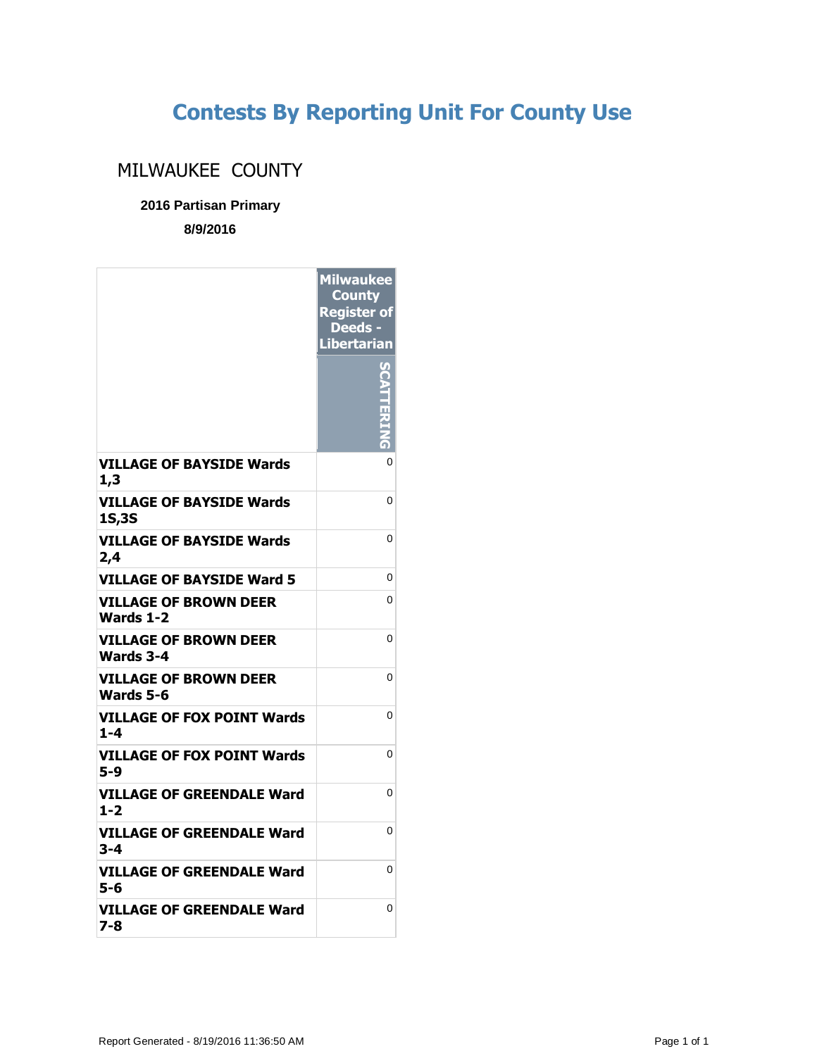## **Contests By Reporting Unit For County Use**

## MILWAUKEE COUNTY

## **2016 Partisan Primary**

**8/9/2016**

|                                           | <b>Milwaukee</b><br><b>County</b><br><b>Register of</b><br>Deeds -<br><b>Libertarian</b> |
|-------------------------------------------|------------------------------------------------------------------------------------------|
|                                           |                                                                                          |
| <b>VILLAGE OF BAYSIDE Wards</b><br>1,3    | 0                                                                                        |
| <b>VILLAGE OF BAYSIDE Wards</b><br>1S,3S  | 0                                                                                        |
| <b>VILLAGE OF BAYSIDE Wards</b><br>2,4    | 0                                                                                        |
| <b>VILLAGE OF BAYSIDE Ward 5</b>          | 0                                                                                        |
| VILLAGE OF BROWN DEER<br>Wards 1-2        | 0                                                                                        |
| <b>VILLAGE OF BROWN DEER</b><br>Wards 3-4 | 0                                                                                        |
| <b>VILLAGE OF BROWN DEER</b><br>Wards 5-6 | $\overline{0}$                                                                           |
| VILLAGE OF FOX POINT Wards<br>$1 - 4$     | 0                                                                                        |
| <b>VILLAGE OF FOX POINT Wards</b><br>5-9  | 0                                                                                        |
| VILLAGE OF GREENDALE Ward<br>$1 - 2$      | 0                                                                                        |
| VILLAGE OF GREENDALE Ward<br>3-4          | 0                                                                                        |
| <b>VILLAGE OF GREENDALE Ward</b><br>5-6   | 0                                                                                        |
| <b>VILLAGE OF GREENDALE Ward</b><br>7-8   | 0                                                                                        |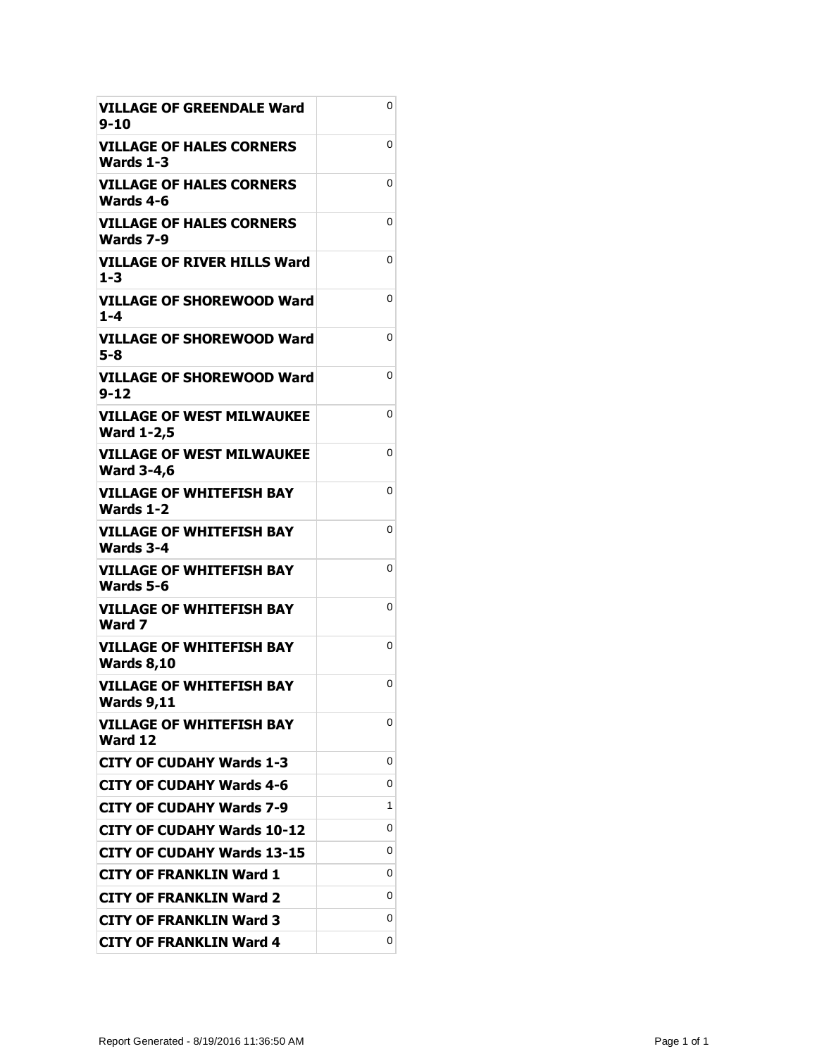| <b>VILLAGE OF GREENDALE Ward</b><br>$9 - 10$          | 0 |
|-------------------------------------------------------|---|
| VILLAGE OF HALES CORNERS<br>Wards 1-3                 | 0 |
| VILLAGE OF HALES CORNERS<br>Wards 4-6                 | 0 |
| <b>VILLAGE OF HALES CORNERS</b><br>Wards 7-9          | 0 |
| <b>VILLAGE OF RIVER HILLS Ward</b><br>$1 - 3$         | 0 |
| <b>VILLAGE OF SHOREWOOD Ward</b><br>$1 - 4$           | 0 |
| VILLAGE OF SHOREWOOD Ward<br>5-8                      | 0 |
| VILLAGE OF SHOREWOOD Ward<br>$9 - 12$                 | 0 |
| <b>VILLAGE OF WEST MILWAUKEE</b><br><b>Ward 1-2,5</b> | 0 |
| <b>VILLAGE OF WEST MILWAUKEE</b><br><b>Ward 3-4,6</b> | 0 |
| <b>VILLAGE OF WHITEFISH BAY</b><br>Wards 1-2          | 0 |
| <b>VILLAGE OF WHITEFISH BAY</b><br><b>Wards 3-4</b>   | 0 |
| <b>VILLAGE OF WHITEFISH BAY</b><br>Wards 5-6          | 0 |
| VILLAGE OF WHITEFISH BAY<br>Ward 7                    | 0 |
| <b>VILLAGE OF WHITEFISH BAY</b><br><b>Wards 8,10</b>  | 0 |
| <b>VILLAGE OF WHITEFISH BAY</b><br><b>Wards 9,11</b>  | 0 |
| <b>VILLAGE OF WHITEFISH BAY</b><br>Ward 12            | 0 |
| <b>CITY OF CUDAHY Wards 1-3</b>                       | 0 |
| <b>CITY OF CUDAHY Wards 4-6</b>                       | 0 |
| <b>CITY OF CUDAHY Wards 7-9</b>                       | 1 |
| <b>CITY OF CUDAHY Wards 10-12</b>                     | 0 |
| <b>CITY OF CUDAHY Wards 13-15</b>                     | 0 |
| <b>CITY OF FRANKLIN Ward 1</b>                        | 0 |
| <b>CITY OF FRANKLIN Ward 2</b>                        | 0 |
| <b>CITY OF FRANKLIN Ward 3</b>                        | 0 |
| <b>CITY OF FRANKLIN Ward 4</b>                        | 0 |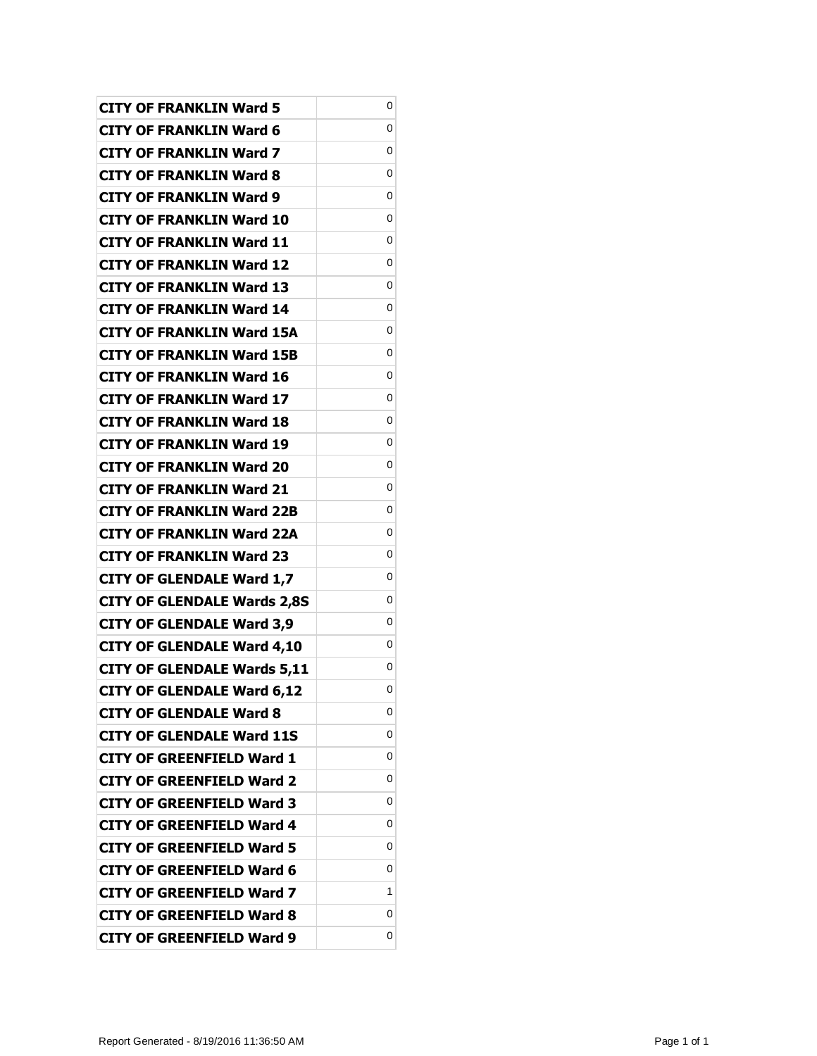| <b>CITY OF FRANKLIN Ward 5</b>     | 0 |
|------------------------------------|---|
| <b>CITY OF FRANKLIN Ward 6</b>     | 0 |
| <b>CITY OF FRANKLIN Ward 7</b>     | 0 |
| <b>CITY OF FRANKLIN Ward 8</b>     | 0 |
| <b>CITY OF FRANKLIN Ward 9</b>     | 0 |
| <b>CITY OF FRANKLIN Ward 10</b>    | 0 |
| <b>CITY OF FRANKLIN Ward 11</b>    | 0 |
| <b>CITY OF FRANKLIN Ward 12</b>    | 0 |
| <b>CITY OF FRANKLIN Ward 13</b>    | 0 |
| <b>CITY OF FRANKLIN Ward 14</b>    | 0 |
| <b>CITY OF FRANKLIN Ward 15A</b>   | 0 |
| <b>CITY OF FRANKLIN Ward 15B</b>   | 0 |
| <b>CITY OF FRANKLIN Ward 16</b>    | 0 |
| <b>CITY OF FRANKLIN Ward 17</b>    | 0 |
| <b>CITY OF FRANKLIN Ward 18</b>    | 0 |
| <b>CITY OF FRANKLIN Ward 19</b>    | 0 |
| <b>CITY OF FRANKLIN Ward 20</b>    | 0 |
| <b>CITY OF FRANKLIN Ward 21</b>    | 0 |
| <b>CITY OF FRANKLIN Ward 22B</b>   | 0 |
| <b>CITY OF FRANKLIN Ward 22A</b>   | 0 |
| <b>CITY OF FRANKLIN Ward 23</b>    | 0 |
| <b>CITY OF GLENDALE Ward 1,7</b>   | 0 |
| <b>CITY OF GLENDALE Wards 2,8S</b> | 0 |
| <b>CITY OF GLENDALE Ward 3,9</b>   | 0 |
| <b>CITY OF GLENDALE Ward 4,10</b>  | 0 |
| <b>CITY OF GLENDALE Wards 5,11</b> | 0 |
| <b>CITY OF GLENDALE Ward 6,12</b>  | 0 |
| <b>CITY OF GLENDALE Ward 8</b>     | 0 |
| <b>CITY OF GLENDALE Ward 11S</b>   | 0 |
| <b>CITY OF GREENFIELD Ward 1</b>   | 0 |
| <b>CITY OF GREENFIELD Ward 2</b>   | 0 |
| <b>CITY OF GREENFIELD Ward 3</b>   | 0 |
| <b>CITY OF GREENFIELD Ward 4</b>   | 0 |
| <b>CITY OF GREENFIELD Ward 5</b>   | 0 |
| <b>CITY OF GREENFIELD Ward 6</b>   | 0 |
| <b>CITY OF GREENFIELD Ward 7</b>   | 1 |
| <b>CITY OF GREENFIELD Ward 8</b>   | 0 |
| <b>CITY OF GREENFIELD Ward 9</b>   | 0 |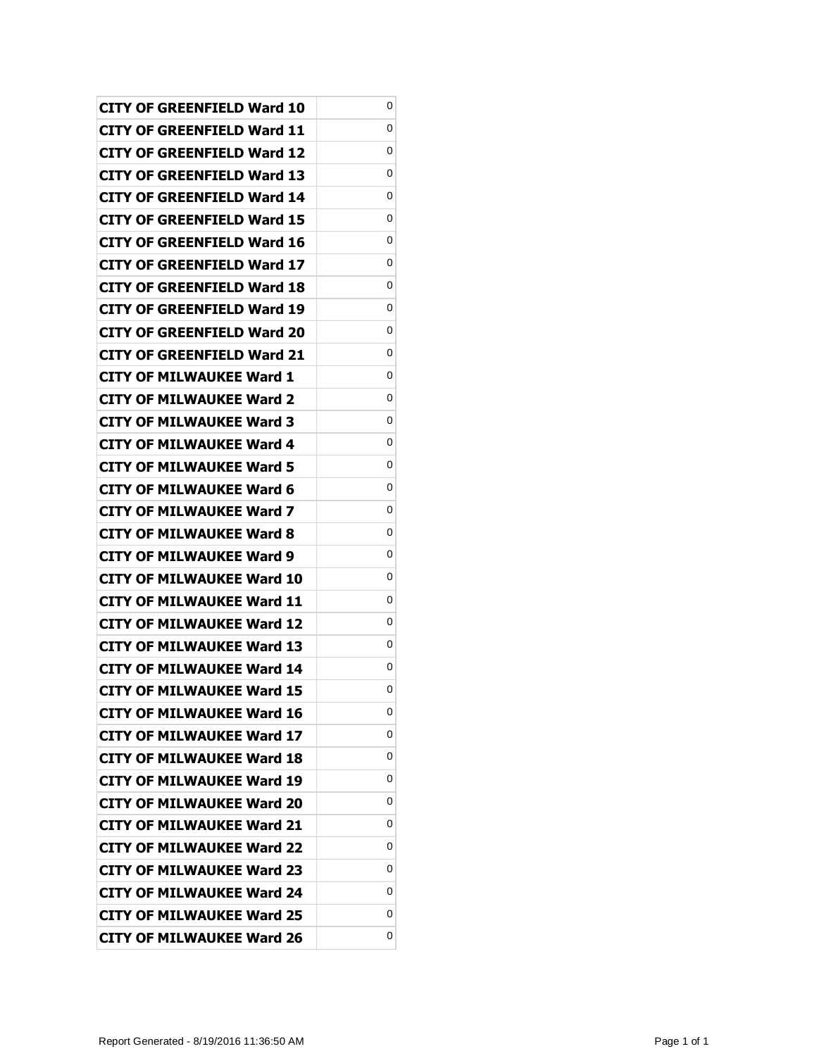| CITY OF GREENFIELD Ward 10        | 0 |
|-----------------------------------|---|
| CITY OF GREENFIELD Ward 11        | 0 |
| CITY OF GREENFIELD Ward 12        | 0 |
| CITY OF GREENFIELD Ward 13        | 0 |
| CITY OF GREENFIELD Ward 14        | 0 |
| CITY OF GREENFIELD Ward 15        | 0 |
| CITY OF GREENFIELD Ward 16        | 0 |
| CITY OF GREENFIELD Ward 17        | 0 |
| CITY OF GREENFIELD Ward 18        | 0 |
| CITY OF GREENFIELD Ward 19        | 0 |
| <b>CITY OF GREENFIELD Ward 20</b> | 0 |
| CITY OF GREENFIELD Ward 21        | 0 |
| CITY OF MILWAUKEE Ward 1          | 0 |
| CITY OF MILWAUKEE Ward 2          | 0 |
| <b>CITY OF MILWAUKEE Ward 3</b>   | 0 |
| <b>CITY OF MILWAUKEE Ward 4</b>   | 0 |
| <b>CITY OF MILWAUKEE Ward 5</b>   | 0 |
| CITY OF MILWAUKEE Ward 6          | 0 |
| CITY OF MILWAUKEE Ward 7          | 0 |
| <b>CITY OF MILWAUKEE Ward 8</b>   | 0 |
| <b>CITY OF MILWAUKEE Ward 9</b>   | 0 |
| <b>CITY OF MILWAUKEE Ward 10</b>  | 0 |
| CITY OF MILWAUKEE Ward 11         | 0 |
| <b>CITY OF MILWAUKEE Ward 12</b>  | 0 |
| <b>CITY OF MILWAUKEE Ward 13</b>  | 0 |
| <b>CITY OF MILWAUKEE Ward 14</b>  | 0 |
| <b>CITY OF MILWAUKEE Ward 15</b>  | 0 |
| <b>CITY OF MILWAUKEE Ward 16</b>  | 0 |
| <b>CITY OF MILWAUKEE Ward 17</b>  | 0 |
| <b>CITY OF MILWAUKEE Ward 18</b>  | 0 |
| <b>CITY OF MILWAUKEE Ward 19</b>  | 0 |
| <b>CITY OF MILWAUKEE Ward 20</b>  | 0 |
| CITY OF MILWAUKEE Ward 21         | 0 |
| <b>CITY OF MILWAUKEE Ward 22</b>  | 0 |
| <b>CITY OF MILWAUKEE Ward 23</b>  | 0 |
| <b>CITY OF MILWAUKEE Ward 24</b>  | 0 |
| <b>CITY OF MILWAUKEE Ward 25</b>  | 0 |
| <b>CITY OF MILWAUKEE Ward 26</b>  | 0 |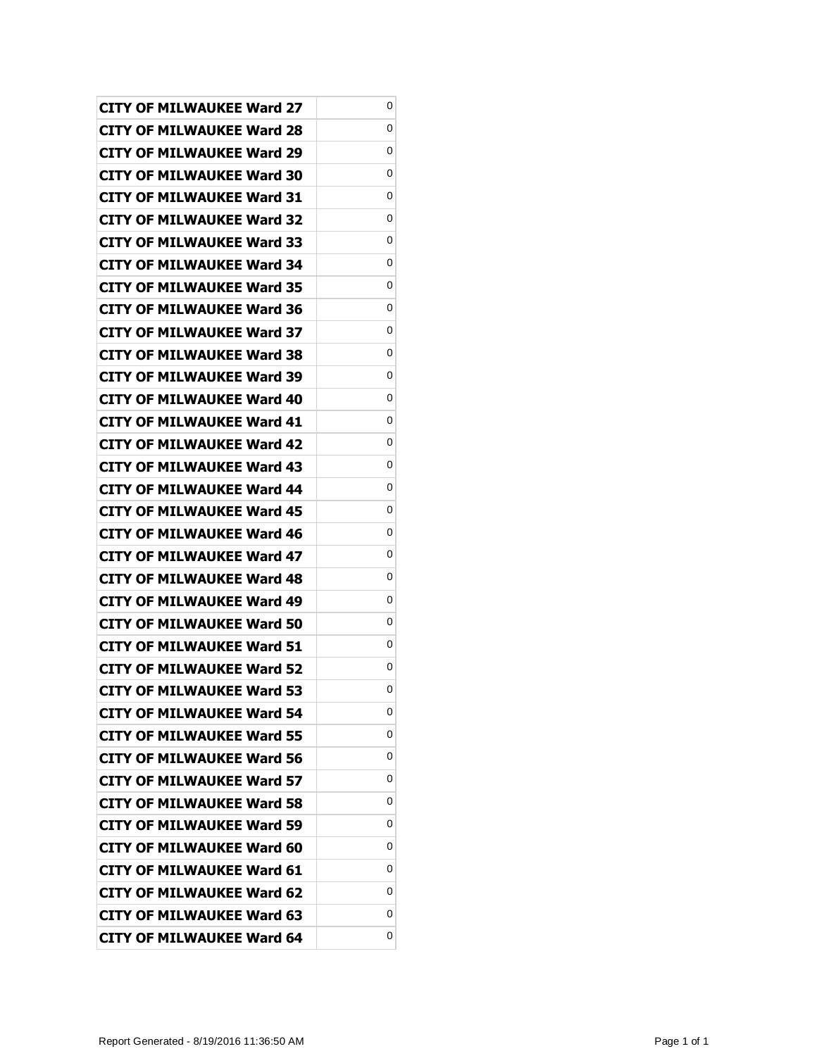| <b>CITY OF MILWAUKEE Ward 27</b> | 0 |
|----------------------------------|---|
| <b>CITY OF MILWAUKEE Ward 28</b> | 0 |
| <b>CITY OF MILWAUKEE Ward 29</b> | 0 |
| <b>CITY OF MILWAUKEE Ward 30</b> | 0 |
| <b>CITY OF MILWAUKEE Ward 31</b> | 0 |
| <b>CITY OF MILWAUKEE Ward 32</b> | 0 |
| <b>CITY OF MILWAUKEE Ward 33</b> | 0 |
| <b>CITY OF MILWAUKEE Ward 34</b> | 0 |
| CITY OF MILWAUKEE Ward 35        | 0 |
| <b>CITY OF MILWAUKEE Ward 36</b> | 0 |
| <b>CITY OF MILWAUKEE Ward 37</b> | 0 |
| <b>CITY OF MILWAUKEE Ward 38</b> | 0 |
| <b>CITY OF MILWAUKEE Ward 39</b> | 0 |
| CITY OF MILWAUKEE Ward 40        | 0 |
| <b>CITY OF MILWAUKEE Ward 41</b> | 0 |
| <b>CITY OF MILWAUKEE Ward 42</b> | 0 |
| <b>CITY OF MILWAUKEE Ward 43</b> | 0 |
| <b>CITY OF MILWAUKEE Ward 44</b> | 0 |
| <b>CITY OF MILWAUKEE Ward 45</b> | 0 |
| <b>CITY OF MILWAUKEE Ward 46</b> | 0 |
| <b>CITY OF MILWAUKEE Ward 47</b> | 0 |
| <b>CITY OF MILWAUKEE Ward 48</b> | 0 |
| CITY OF MILWAUKEE Ward 49        | 0 |
| <b>CITY OF MILWAUKEE Ward 50</b> | 0 |
| <b>CITY OF MILWAUKEE Ward 51</b> | 0 |
| <b>CITY OF MILWAUKEE Ward 52</b> | 0 |
| <b>CITY OF MILWAUKEE Ward 53</b> | 0 |
| <b>CITY OF MILWAUKEE Ward 54</b> | 0 |
| <b>CITY OF MILWAUKEE Ward 55</b> | 0 |
| <b>CITY OF MILWAUKEE Ward 56</b> | 0 |
| <b>CITY OF MILWAUKEE Ward 57</b> | 0 |
| <b>CITY OF MILWAUKEE Ward 58</b> | 0 |
| <b>CITY OF MILWAUKEE Ward 59</b> | 0 |
| <b>CITY OF MILWAUKEE Ward 60</b> | 0 |
| <b>CITY OF MILWAUKEE Ward 61</b> | 0 |
| <b>CITY OF MILWAUKEE Ward 62</b> | 0 |
| <b>CITY OF MILWAUKEE Ward 63</b> | 0 |
| <b>CITY OF MILWAUKEE Ward 64</b> | 0 |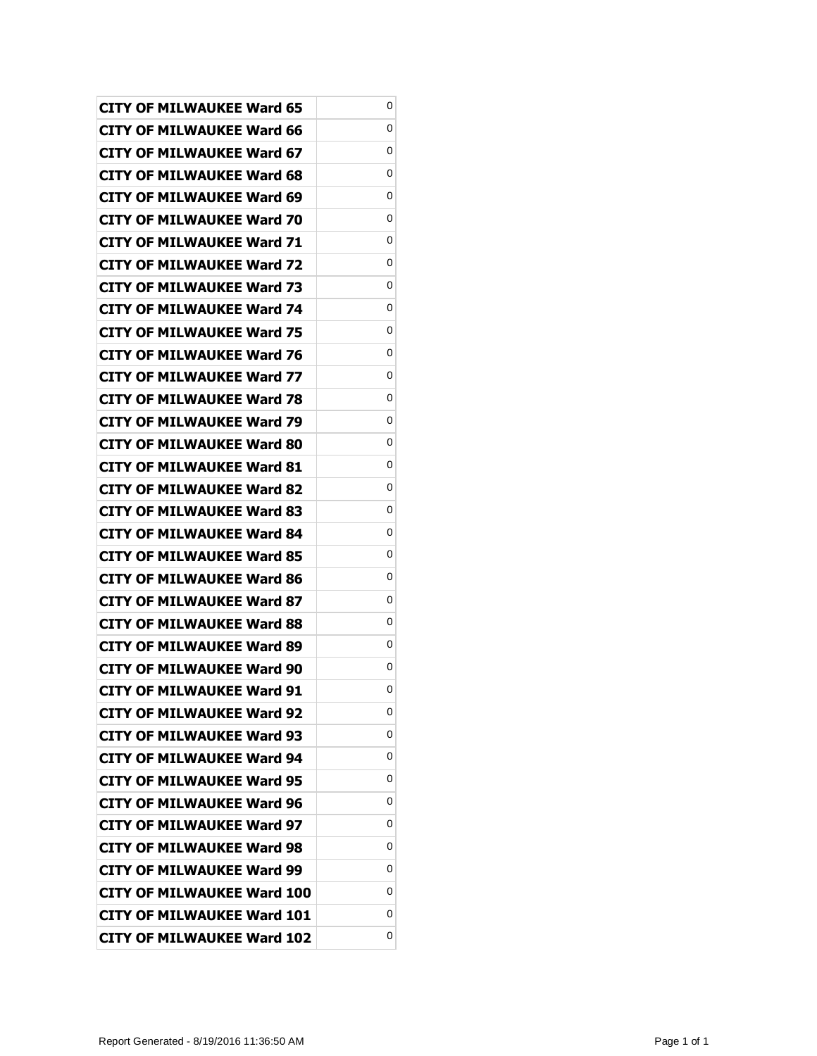| <b>CITY OF MILWAUKEE Ward 65</b>  | 0 |
|-----------------------------------|---|
| <b>CITY OF MILWAUKEE Ward 66</b>  | 0 |
| CITY OF MILWAUKEE Ward 67         | 0 |
| <b>CITY OF MILWAUKEE Ward 68</b>  | 0 |
| <b>CITY OF MILWAUKEE Ward 69</b>  | 0 |
| CITY OF MILWAUKEE Ward 70         | 0 |
| <b>CITY OF MILWAUKEE Ward 71</b>  | 0 |
| CITY OF MILWAUKEE Ward 72         | 0 |
| <b>CITY OF MILWAUKEE Ward 73</b>  | 0 |
| <b>CITY OF MILWAUKEE Ward 74</b>  | 0 |
| <b>CITY OF MILWAUKEE Ward 75</b>  | 0 |
| CITY OF MILWAUKEE Ward 76         | 0 |
| <b>CITY OF MILWAUKEE Ward 77</b>  | 0 |
| CITY OF MILWAUKEE Ward 78         | 0 |
| <b>CITY OF MILWAUKEE Ward 79</b>  | 0 |
| <b>CITY OF MILWAUKEE Ward 80</b>  | 0 |
| CITY OF MILWAUKEE Ward 81         | 0 |
| <b>CITY OF MILWAUKEE Ward 82</b>  | 0 |
| CITY OF MILWAUKEE Ward 83         | 0 |
| <b>CITY OF MILWAUKEE Ward 84</b>  | 0 |
| <b>CITY OF MILWAUKEE Ward 85</b>  | 0 |
| <b>CITY OF MILWAUKEE Ward 86</b>  | 0 |
| CITY OF MILWAUKEE Ward 87         | 0 |
| <b>CITY OF MILWAUKEE Ward 88</b>  | 0 |
| <b>CITY OF MILWAUKEE Ward 89</b>  | 0 |
| CITY OF MILWAUKEE Ward 90         | 0 |
| <b>CITY OF MILWAUKEE Ward 91</b>  | 0 |
| <b>CITY OF MILWAUKEE Ward 92</b>  | 0 |
| <b>CITY OF MILWAUKEE Ward 93</b>  | 0 |
| <b>CITY OF MILWAUKEE Ward 94</b>  | 0 |
| <b>CITY OF MILWAUKEE Ward 95</b>  | 0 |
| <b>CITY OF MILWAUKEE Ward 96</b>  | 0 |
| <b>CITY OF MILWAUKEE Ward 97</b>  | 0 |
| <b>CITY OF MILWAUKEE Ward 98</b>  | 0 |
| <b>CITY OF MILWAUKEE Ward 99</b>  | 0 |
| <b>CITY OF MILWAUKEE Ward 100</b> | 0 |
| <b>CITY OF MILWAUKEE Ward 101</b> | 0 |
| <b>CITY OF MILWAUKEE Ward 102</b> | 0 |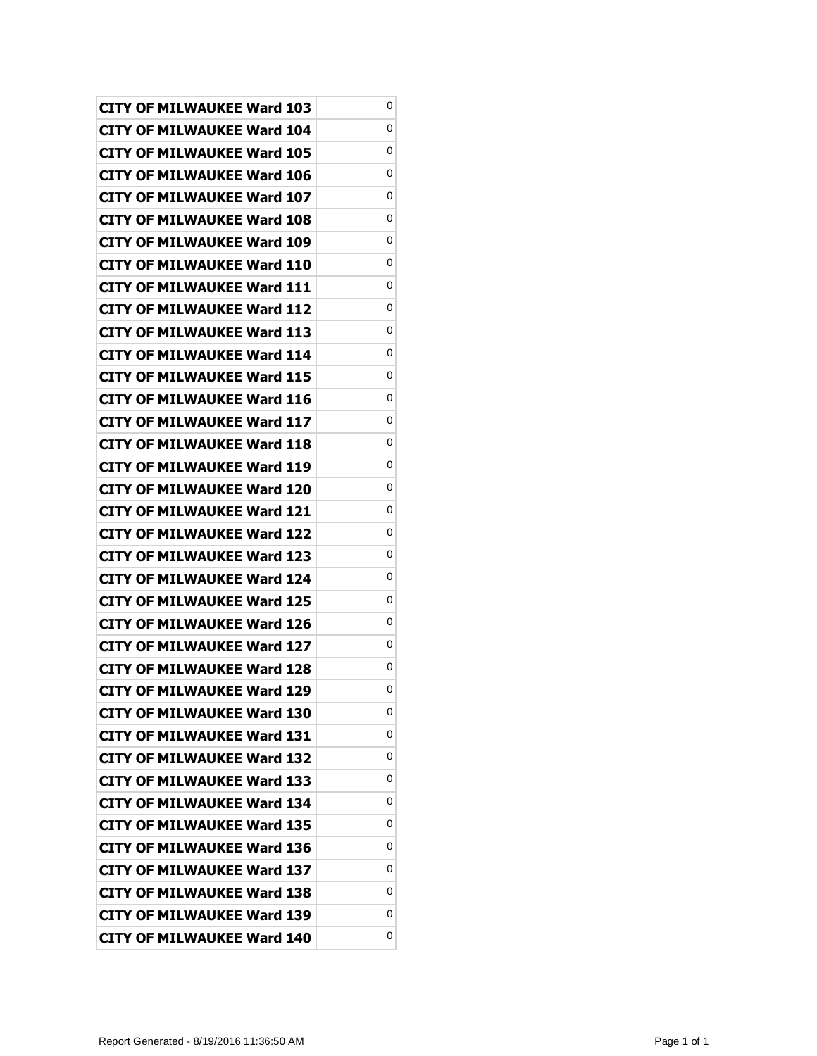| <b>CITY OF MILWAUKEE Ward 103</b> | 0 |
|-----------------------------------|---|
| CITY OF MILWAUKEE Ward 104        | 0 |
| CITY OF MILWAUKEE Ward 105        | 0 |
| <b>CITY OF MILWAUKEE Ward 106</b> | 0 |
| <b>CITY OF MILWAUKEE Ward 107</b> | 0 |
| CITY OF MILWAUKEE Ward 108        | 0 |
| CITY OF MILWAUKEE Ward 109        | 0 |
| CITY OF MILWAUKEE Ward 110        | 0 |
| <b>CITY OF MILWAUKEE Ward 111</b> | 0 |
| CITY OF MILWAUKEE Ward 112        | 0 |
| <b>CITY OF MILWAUKEE Ward 113</b> | 0 |
| CITY OF MILWAUKEE Ward 114        | 0 |
| <b>CITY OF MILWAUKEE Ward 115</b> | 0 |
| CITY OF MILWAUKEE Ward 116        | 0 |
| <b>CITY OF MILWAUKEE Ward 117</b> | 0 |
| CITY OF MILWAUKEE Ward 118        | 0 |
| CITY OF MILWAUKEE Ward 119        | 0 |
| <b>CITY OF MILWAUKEE Ward 120</b> | 0 |
| <b>CITY OF MILWAUKEE Ward 121</b> | 0 |
| CITY OF MILWAUKEE Ward 122        | 0 |
| <b>CITY OF MILWAUKEE Ward 123</b> | 0 |
| CITY OF MILWAUKEE Ward 124        | 0 |
| CITY OF MILWAUKEE Ward 125        | 0 |
| CITY OF MILWAUKEE Ward 126        | 0 |
| CITY OF MILWAUKEE Ward 127        | 0 |
| <b>CITY OF MILWAUKEE Ward 128</b> | 0 |
| <b>CITY OF MILWAUKEE Ward 129</b> | 0 |
| <b>CITY OF MILWAUKEE Ward 130</b> | 0 |
| <b>CITY OF MILWAUKEE Ward 131</b> | 0 |
| <b>CITY OF MILWAUKEE Ward 132</b> | 0 |
| CITY OF MILWAUKEE Ward 133        | 0 |
| <b>CITY OF MILWAUKEE Ward 134</b> | 0 |
| <b>CITY OF MILWAUKEE Ward 135</b> | 0 |
| <b>CITY OF MILWAUKEE Ward 136</b> | 0 |
| <b>CITY OF MILWAUKEE Ward 137</b> | 0 |
| <b>CITY OF MILWAUKEE Ward 138</b> | 0 |
| <b>CITY OF MILWAUKEE Ward 139</b> | 0 |
| CITY OF MILWAUKEE Ward 140        | 0 |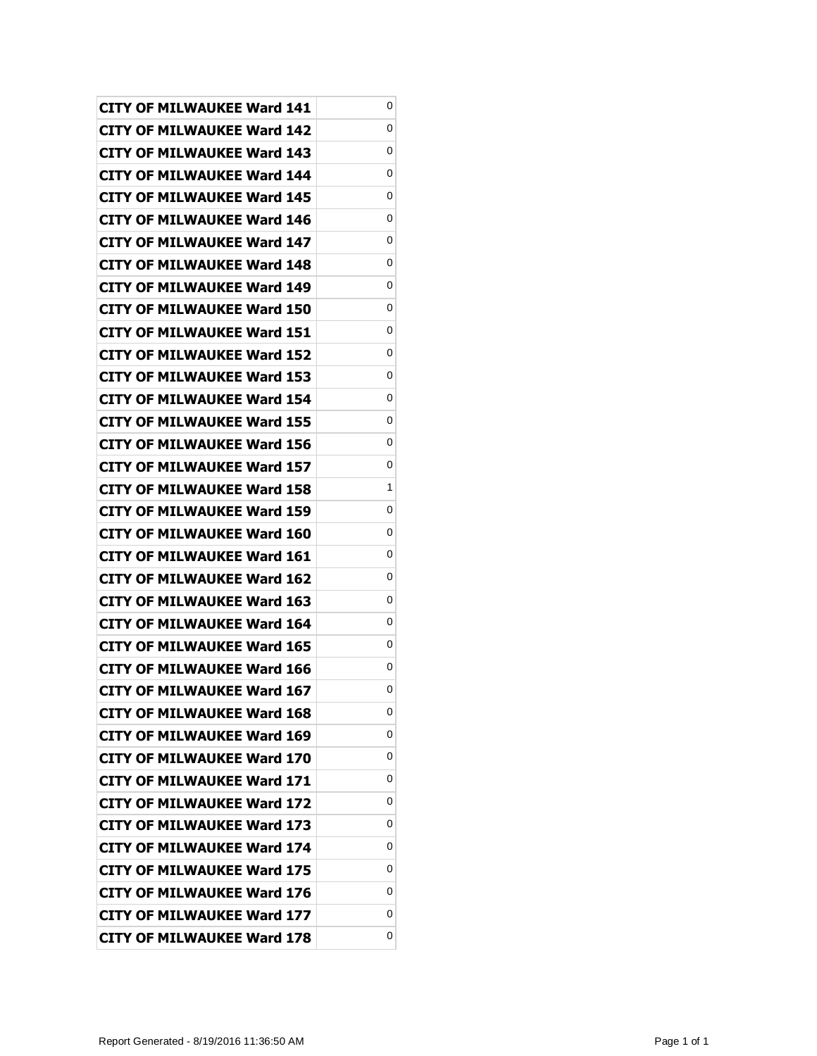| <b>CITY OF MILWAUKEE Ward 141</b> | 0 |
|-----------------------------------|---|
| <b>CITY OF MILWAUKEE Ward 142</b> | 0 |
| <b>CITY OF MILWAUKEE Ward 143</b> | 0 |
| <b>CITY OF MILWAUKEE Ward 144</b> | 0 |
| <b>CITY OF MILWAUKEE Ward 145</b> | 0 |
| CITY OF MILWAUKEE Ward 146        | 0 |
| CITY OF MILWAUKEE Ward 147        | 0 |
| <b>CITY OF MILWAUKEE Ward 148</b> | 0 |
| CITY OF MILWAUKEE Ward 149        | 0 |
| <b>CITY OF MILWAUKEE Ward 150</b> | 0 |
| <b>CITY OF MILWAUKEE Ward 151</b> | 0 |
| CITY OF MILWAUKEE Ward 152        | 0 |
| <b>CITY OF MILWAUKEE Ward 153</b> | 0 |
| <b>CITY OF MILWAUKEE Ward 154</b> | 0 |
| <b>CITY OF MILWAUKEE Ward 155</b> | 0 |
| CITY OF MILWAUKEE Ward 156        | 0 |
| CITY OF MILWAUKEE Ward 157        | 0 |
| <b>CITY OF MILWAUKEE Ward 158</b> | 1 |
| CITY OF MILWAUKEE Ward 159        | 0 |
| <b>CITY OF MILWAUKEE Ward 160</b> | 0 |
| <b>CITY OF MILWAUKEE Ward 161</b> | 0 |
| CITY OF MILWAUKEE Ward 162        | 0 |
| CITY OF MILWAUKEE Ward 163        | 0 |
| CITY OF MILWAUKEE Ward 164        | 0 |
| CITY OF MILWAUKEE Ward 165        | 0 |
| <b>CITY OF MILWAUKEE Ward 166</b> | 0 |
| <b>CITY OF MILWAUKEE Ward 167</b> | 0 |
| <b>CITY OF MILWAUKEE Ward 168</b> | 0 |
| <b>CITY OF MILWAUKEE Ward 169</b> | 0 |
| <b>CITY OF MILWAUKEE Ward 170</b> | 0 |
| <b>CITY OF MILWAUKEE Ward 171</b> | 0 |
| <b>CITY OF MILWAUKEE Ward 172</b> | 0 |
| <b>CITY OF MILWAUKEE Ward 173</b> | 0 |
| <b>CITY OF MILWAUKEE Ward 174</b> | 0 |
| <b>CITY OF MILWAUKEE Ward 175</b> | 0 |
| <b>CITY OF MILWAUKEE Ward 176</b> | 0 |
| <b>CITY OF MILWAUKEE Ward 177</b> | 0 |
| <b>CITY OF MILWAUKEE Ward 178</b> | 0 |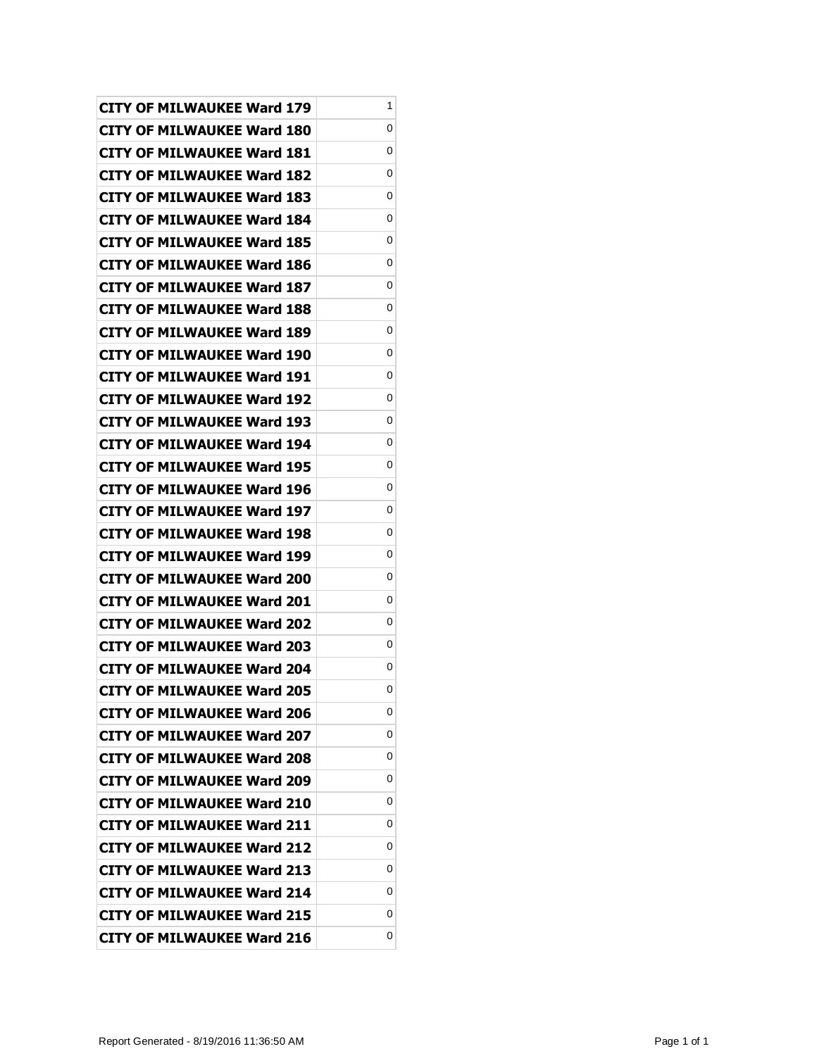| <b>CITY OF MILWAUKEE Ward 179</b> | 1 |
|-----------------------------------|---|
| <b>CITY OF MILWAUKEE Ward 180</b> | 0 |
| <b>CITY OF MILWAUKEE Ward 181</b> | 0 |
| <b>CITY OF MILWAUKEE Ward 182</b> | 0 |
| <b>CITY OF MILWAUKEE Ward 183</b> | 0 |
| CITY OF MILWAUKEE Ward 184        | 0 |
| CITY OF MILWAUKEE Ward 185        | 0 |
| <b>CITY OF MILWAUKEE Ward 186</b> | 0 |
| <b>CITY OF MILWAUKEE Ward 187</b> | 0 |
| <b>CITY OF MILWAUKEE Ward 188</b> | 0 |
| <b>CITY OF MILWAUKEE Ward 189</b> | 0 |
| CITY OF MILWAUKEE Ward 190        | 0 |
| <b>CITY OF MILWAUKEE Ward 191</b> | 0 |
| <b>CITY OF MILWAUKEE Ward 192</b> | 0 |
| <b>CITY OF MILWAUKEE Ward 193</b> | 0 |
| <b>CITY OF MILWAUKEE Ward 194</b> | 0 |
| CITY OF MILWAUKEE Ward 195        | 0 |
| <b>CITY OF MILWAUKEE Ward 196</b> | 0 |
| CITY OF MILWAUKEE Ward 197        | 0 |
| <b>CITY OF MILWAUKEE Ward 198</b> | 0 |
| <b>CITY OF MILWAUKEE Ward 199</b> | 0 |
| CITY OF MILWAUKEE Ward 200        | 0 |
| CITY OF MILWAUKEE Ward 201        | 0 |
| <b>CITY OF MILWAUKEE Ward 202</b> | 0 |
| CITY OF MILWAUKEE Ward 203        | 0 |
| <b>CITY OF MILWAUKEE Ward 204</b> | 0 |
| <b>CITY OF MILWAUKEE Ward 205</b> | 0 |
| <b>CITY OF MILWAUKEE Ward 206</b> | 0 |
| <b>CITY OF MILWAUKEE Ward 207</b> | 0 |
| <b>CITY OF MILWAUKEE Ward 208</b> | 0 |
| <b>CITY OF MILWAUKEE Ward 209</b> | 0 |
| <b>CITY OF MILWAUKEE Ward 210</b> | 0 |
| <b>CITY OF MILWAUKEE Ward 211</b> | 0 |
| <b>CITY OF MILWAUKEE Ward 212</b> | 0 |
| <b>CITY OF MILWAUKEE Ward 213</b> | 0 |
| <b>CITY OF MILWAUKEE Ward 214</b> | 0 |
| <b>CITY OF MILWAUKEE Ward 215</b> | 0 |
| <b>CITY OF MILWAUKEE Ward 216</b> | 0 |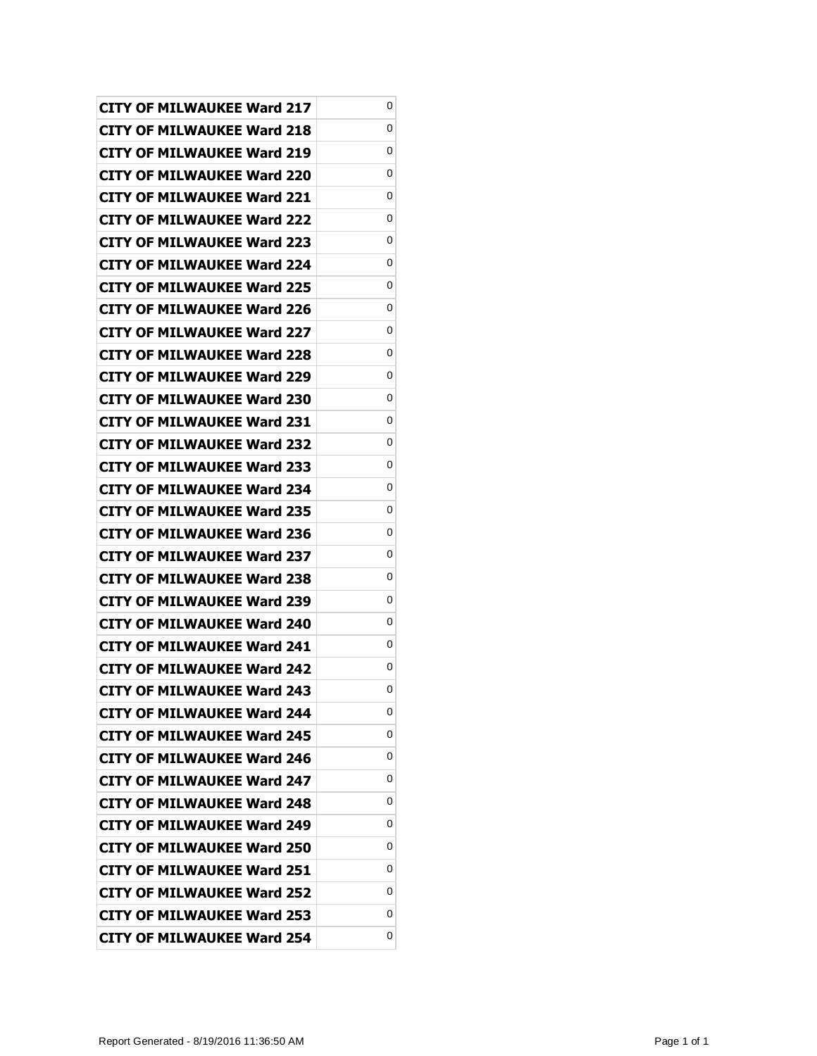| <b>CITY OF MILWAUKEE Ward 217</b> | 0 |
|-----------------------------------|---|
| CITY OF MILWAUKEE Ward 218        | 0 |
| <b>CITY OF MILWAUKEE Ward 219</b> | 0 |
| <b>CITY OF MILWAUKEE Ward 220</b> | 0 |
| <b>CITY OF MILWAUKEE Ward 221</b> | 0 |
| CITY OF MILWAUKEE Ward 222        | 0 |
| CITY OF MILWAUKEE Ward 223        | 0 |
| <b>CITY OF MILWAUKEE Ward 224</b> | 0 |
| <b>CITY OF MILWAUKEE Ward 225</b> | 0 |
| <b>CITY OF MILWAUKEE Ward 226</b> | 0 |
| <b>CITY OF MILWAUKEE Ward 227</b> | 0 |
| CITY OF MILWAUKEE Ward 228        | 0 |
| <b>CITY OF MILWAUKEE Ward 229</b> | 0 |
| <b>CITY OF MILWAUKEE Ward 230</b> | 0 |
| CITY OF MILWAUKEE Ward 231        | 0 |
| <b>CITY OF MILWAUKEE Ward 232</b> | 0 |
| CITY OF MILWAUKEE Ward 233        | 0 |
| <b>CITY OF MILWAUKEE Ward 234</b> | 0 |
| <b>CITY OF MILWAUKEE Ward 235</b> | 0 |
| <b>CITY OF MILWAUKEE Ward 236</b> | 0 |
| <b>CITY OF MILWAUKEE Ward 237</b> | 0 |
| CITY OF MILWAUKEE Ward 238        | 0 |
| CITY OF MILWAUKEE Ward 239        | 0 |
| <b>CITY OF MILWAUKEE Ward 240</b> | 0 |
| CITY OF MILWAUKEE Ward 241        | 0 |
| <b>CITY OF MILWAUKEE Ward 242</b> | 0 |
| <b>CITY OF MILWAUKEE Ward 243</b> | 0 |
| <b>CITY OF MILWAUKEE Ward 244</b> | 0 |
| <b>CITY OF MILWAUKEE Ward 245</b> | 0 |
| <b>CITY OF MILWAUKEE Ward 246</b> | 0 |
| <b>CITY OF MILWAUKEE Ward 247</b> | 0 |
| <b>CITY OF MILWAUKEE Ward 248</b> | 0 |
| <b>CITY OF MILWAUKEE Ward 249</b> | 0 |
| CITY OF MILWAUKEE Ward 250        | 0 |
| <b>CITY OF MILWAUKEE Ward 251</b> | 0 |
| <b>CITY OF MILWAUKEE Ward 252</b> | 0 |
| <b>CITY OF MILWAUKEE Ward 253</b> | 0 |
| <b>CITY OF MILWAUKEE Ward 254</b> | 0 |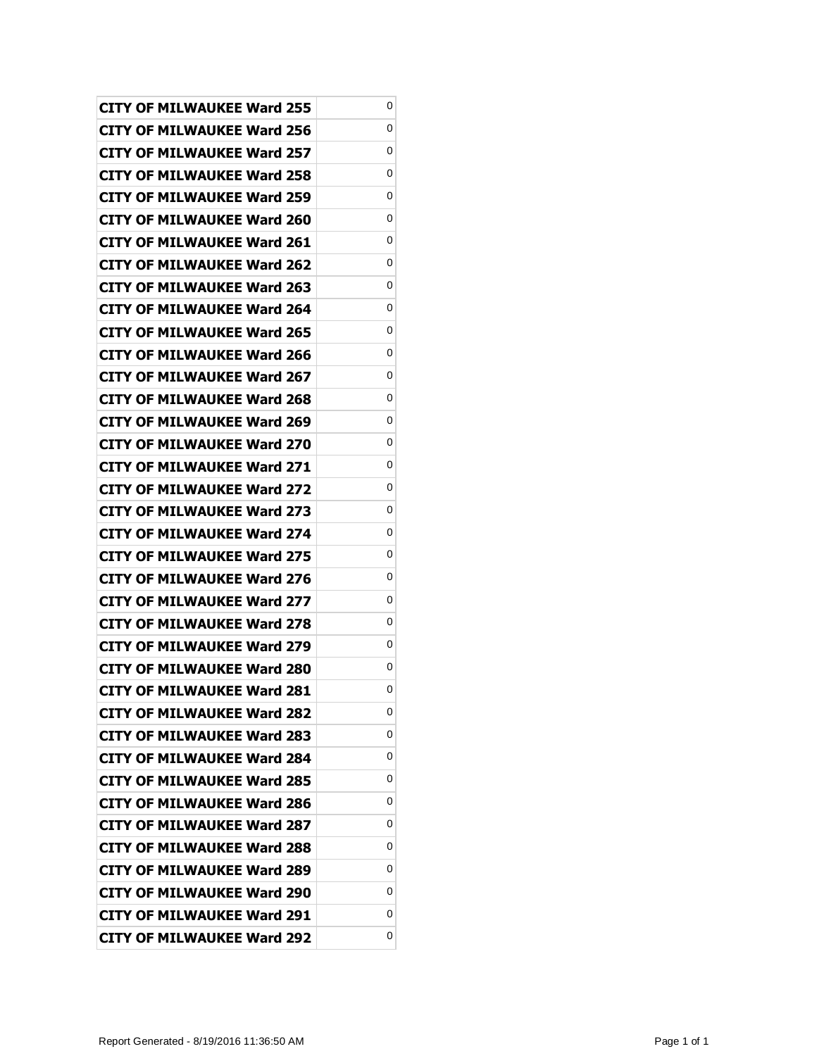| <b>CITY OF MILWAUKEE Ward 255</b> | 0 |
|-----------------------------------|---|
| CITY OF MILWAUKEE Ward 256        | 0 |
| <b>CITY OF MILWAUKEE Ward 257</b> | 0 |
| <b>CITY OF MILWAUKEE Ward 258</b> | 0 |
| <b>CITY OF MILWAUKEE Ward 259</b> | 0 |
| CITY OF MILWAUKEE Ward 260        | 0 |
| CITY OF MILWAUKEE Ward 261        | 0 |
| <b>CITY OF MILWAUKEE Ward 262</b> | 0 |
| CITY OF MILWAUKEE Ward 263        | 0 |
| <b>CITY OF MILWAUKEE Ward 264</b> | 0 |
| <b>CITY OF MILWAUKEE Ward 265</b> | 0 |
| CITY OF MILWAUKEE Ward 266        | 0 |
| <b>CITY OF MILWAUKEE Ward 267</b> | 0 |
| <b>CITY OF MILWAUKEE Ward 268</b> | 0 |
| CITY OF MILWAUKEE Ward 269        | 0 |
| CITY OF MILWAUKEE Ward 270        | 0 |
| CITY OF MILWAUKEE Ward 271        | 0 |
| <b>CITY OF MILWAUKEE Ward 272</b> | 0 |
| <b>CITY OF MILWAUKEE Ward 273</b> | 0 |
| <b>CITY OF MILWAUKEE Ward 274</b> | 0 |
| <b>CITY OF MILWAUKEE Ward 275</b> | 0 |
| CITY OF MILWAUKEE Ward 276        | 0 |
| CITY OF MILWAUKEE Ward 277        | 0 |
| <b>CITY OF MILWAUKEE Ward 278</b> | 0 |
| CITY OF MILWAUKEE Ward 279        | 0 |
| <b>CITY OF MILWAUKEE Ward 280</b> | 0 |
| <b>CITY OF MILWAUKEE Ward 281</b> | 0 |
| <b>CITY OF MILWAUKEE Ward 282</b> | 0 |
| <b>CITY OF MILWAUKEE Ward 283</b> | 0 |
| <b>CITY OF MILWAUKEE Ward 284</b> | 0 |
| <b>CITY OF MILWAUKEE Ward 285</b> | 0 |
| <b>CITY OF MILWAUKEE Ward 286</b> | 0 |
| <b>CITY OF MILWAUKEE Ward 287</b> | 0 |
| CITY OF MILWAUKEE Ward 288        | 0 |
| <b>CITY OF MILWAUKEE Ward 289</b> | 0 |
| <b>CITY OF MILWAUKEE Ward 290</b> | 0 |
| <b>CITY OF MILWAUKEE Ward 291</b> | 0 |
| <b>CITY OF MILWAUKEE Ward 292</b> | 0 |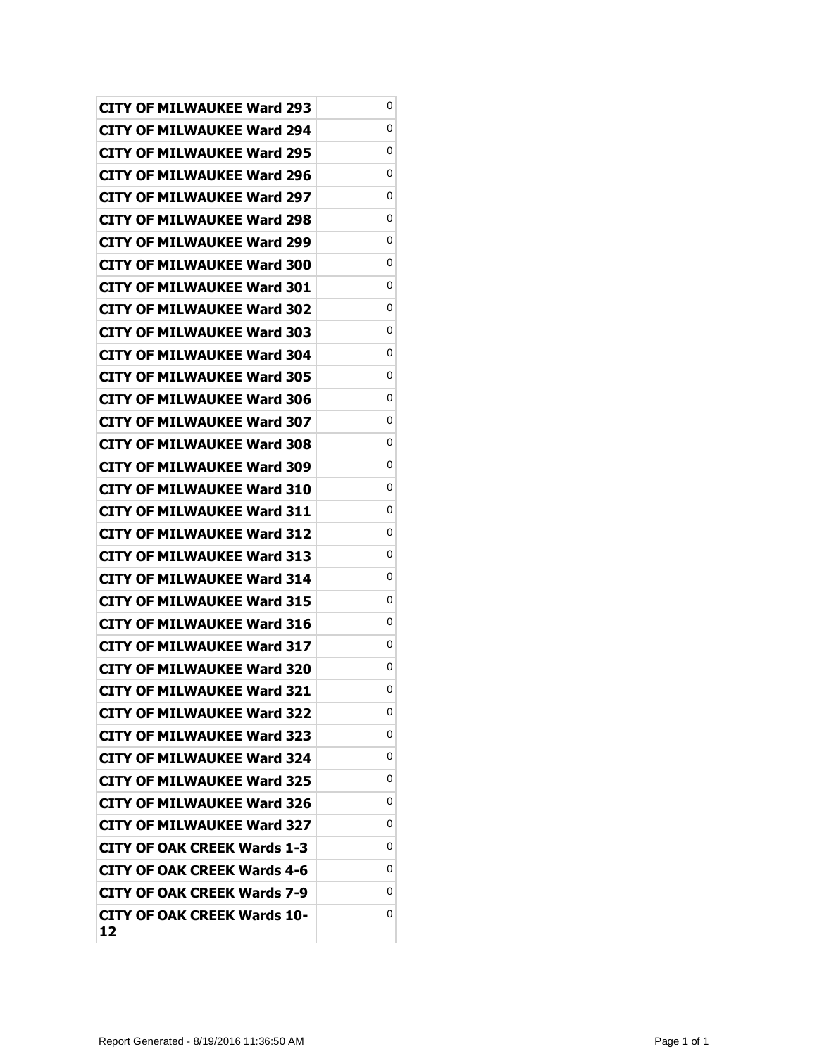| <b>CITY OF MILWAUKEE Ward 293</b>        | 0 |
|------------------------------------------|---|
| CITY OF MILWAUKEE Ward 294               | 0 |
| <b>CITY OF MILWAUKEE Ward 295</b>        | 0 |
| <b>CITY OF MILWAUKEE Ward 296</b>        | 0 |
| <b>CITY OF MILWAUKEE Ward 297</b>        | 0 |
| CITY OF MILWAUKEE Ward 298               | 0 |
| CITY OF MILWAUKEE Ward 299               | 0 |
| <b>CITY OF MILWAUKEE Ward 300</b>        | 0 |
| <b>CITY OF MILWAUKEE Ward 301</b>        | 0 |
| <b>CITY OF MILWAUKEE Ward 302</b>        | 0 |
| <b>CITY OF MILWAUKEE Ward 303</b>        | 0 |
| CITY OF MILWAUKEE Ward 304               | 0 |
| <b>CITY OF MILWAUKEE Ward 305</b>        | 0 |
| <b>CITY OF MILWAUKEE Ward 306</b>        | 0 |
| <b>CITY OF MILWAUKEE Ward 307</b>        | 0 |
| <b>CITY OF MILWAUKEE Ward 308</b>        | 0 |
| <b>CITY OF MILWAUKEE Ward 309</b>        | 0 |
| <b>CITY OF MILWAUKEE Ward 310</b>        | 0 |
| <b>CITY OF MILWAUKEE Ward 311</b>        | 0 |
| <b>CITY OF MILWAUKEE Ward 312</b>        | 0 |
| <b>CITY OF MILWAUKEE Ward 313</b>        | 0 |
| CITY OF MILWAUKEE Ward 314               | 0 |
| CITY OF MILWAUKEE Ward 315               | 0 |
| CITY OF MILWAUKEE Ward 316               | 0 |
| CITY OF MILWAUKEE Ward 317               | 0 |
| <b>CITY OF MILWAUKEE Ward 320</b>        | 0 |
| <b>CITY OF MILWAUKEE Ward 321</b>        | 0 |
| <b>CITY OF MILWAUKEE Ward 322</b>        | 0 |
| <b>CITY OF MILWAUKEE Ward 323</b>        | 0 |
| <b>CITY OF MILWAUKEE Ward 324</b>        | 0 |
| <b>CITY OF MILWAUKEE Ward 325</b>        | 0 |
| <b>CITY OF MILWAUKEE Ward 326</b>        | 0 |
| <b>CITY OF MILWAUKEE Ward 327</b>        | 0 |
| CITY OF OAK CREEK Wards 1-3              | 0 |
| <b>CITY OF OAK CREEK Wards 4-6</b>       | 0 |
| <b>CITY OF OAK CREEK Wards 7-9</b>       | 0 |
| <b>CITY OF OAK CREEK Wards 10-</b><br>12 | 0 |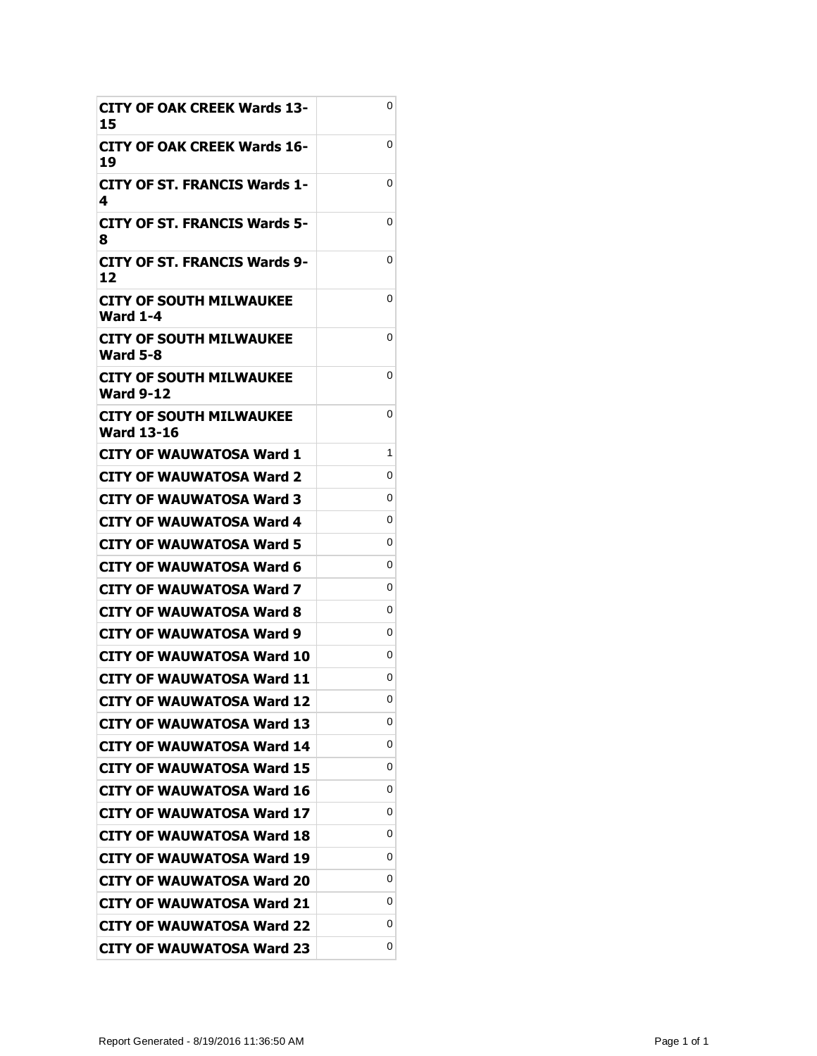| CITY OF OAK CREEK Wards 13-<br>15                 | 0 |
|---------------------------------------------------|---|
| <b>CITY OF OAK CREEK Wards 16-</b><br>19          | 0 |
| CITY OF ST. FRANCIS Wards 1-<br>4                 | 0 |
| CITY OF ST. FRANCIS Wards 5-<br>8                 | 0 |
| <b>CITY OF ST. FRANCIS Wards 9-</b><br>12         | 0 |
| <b>CITY OF SOUTH MILWAUKEE</b><br><b>Ward 1-4</b> | 0 |
| CITY OF SOUTH MILWAUKEE<br><b>Ward 5-8</b>        | 0 |
| CITY OF SOUTH MILWAUKEE<br><b>Ward 9-12</b>       | 0 |
| CITY OF SOUTH MILWAUKEE<br><b>Ward 13-16</b>      | 0 |
| CITY OF WAUWATOSA Ward 1                          | 1 |
| <b>CITY OF WAUWATOSA Ward 2</b>                   | 0 |
| CITY OF WAUWATOSA Ward 3                          | 0 |
| CITY OF WAUWATOSA Ward 4                          | 0 |
| CITY OF WAUWATOSA Ward 5                          | 0 |
| CITY OF WAUWATOSA Ward 6                          | 0 |
| CITY OF WAUWATOSA Ward 7                          | 0 |
| CITY OF WAUWATOSA Ward 8                          | 0 |
| CITY OF WAUWATOSA Ward 9                          | 0 |
| CITY OF WAUWATOSA Ward 10                         | 0 |
| CITY OF WAUWATOSA Ward 11                         | 0 |
| <b>CITY OF WAUWATOSA Ward 12</b>                  | 0 |
| <b>CITY OF WAUWATOSA Ward 13</b>                  | 0 |
| <b>CITY OF WAUWATOSA Ward 14</b>                  | 0 |
| <b>CITY OF WAUWATOSA Ward 15</b>                  | 0 |
| <b>CITY OF WAUWATOSA Ward 16</b>                  | 0 |
| <b>CITY OF WAUWATOSA Ward 17</b>                  | 0 |
| <b>CITY OF WAUWATOSA Ward 18</b>                  | 0 |
| <b>CITY OF WAUWATOSA Ward 19</b>                  | 0 |
| CITY OF WAUWATOSA Ward 20                         | 0 |
| CITY OF WAUWATOSA Ward 21                         | 0 |
| <b>CITY OF WAUWATOSA Ward 22</b>                  | 0 |
| <b>CITY OF WAUWATOSA Ward 23</b>                  | 0 |